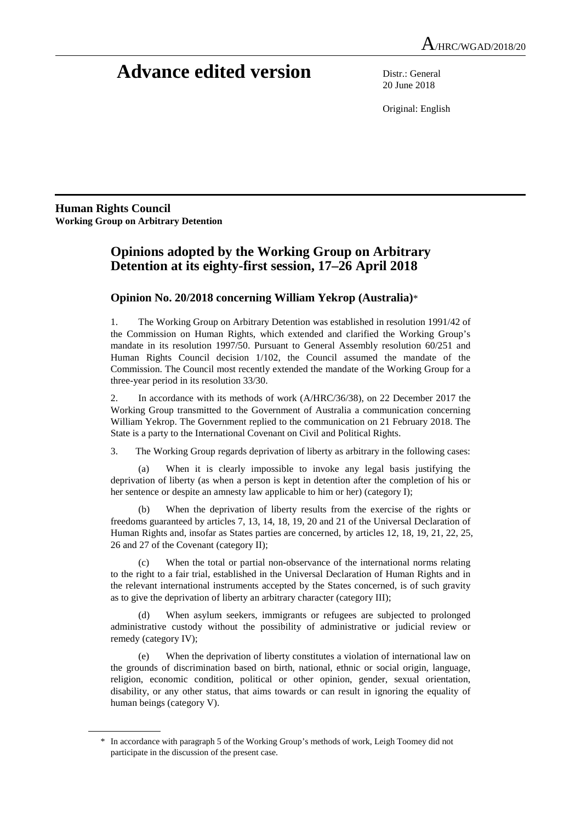# **Advance edited version** Distr.: General

20 June 2018

Original: English

**Human Rights Council Working Group on Arbitrary Detention** 

 $\overline{a}$ 

# **Opinions adopted by the Working Group on Arbitrary Detention at its eighty-first session, 17–26 April 2018**

# **Opinion No. 20/2018 concerning William Yekrop (Australia)**\*

1. The Working Group on Arbitrary Detention was established in resolution 1991/42 of the Commission on Human Rights, which extended and clarified the Working Group's mandate in its resolution 1997/50. Pursuant to General Assembly resolution 60/251 and Human Rights Council decision 1/102, the Council assumed the mandate of the Commission. The Council most recently extended the mandate of the Working Group for a three-year period in its resolution 33/30.

2. In accordance with its methods of work (A/HRC/36/38), on 22 December 2017 the Working Group transmitted to the Government of Australia a communication concerning William Yekrop. The Government replied to the communication on 21 February 2018. The State is a party to the International Covenant on Civil and Political Rights.

3. The Working Group regards deprivation of liberty as arbitrary in the following cases:

 (a) When it is clearly impossible to invoke any legal basis justifying the deprivation of liberty (as when a person is kept in detention after the completion of his or her sentence or despite an amnesty law applicable to him or her) (category I);

 (b) When the deprivation of liberty results from the exercise of the rights or freedoms guaranteed by articles 7, 13, 14, 18, 19, 20 and 21 of the Universal Declaration of Human Rights and, insofar as States parties are concerned, by articles 12, 18, 19, 21, 22, 25, 26 and 27 of the Covenant (category II);

 (c) When the total or partial non-observance of the international norms relating to the right to a fair trial, established in the Universal Declaration of Human Rights and in the relevant international instruments accepted by the States concerned, is of such gravity as to give the deprivation of liberty an arbitrary character (category III);

 (d) When asylum seekers, immigrants or refugees are subjected to prolonged administrative custody without the possibility of administrative or judicial review or remedy (category IV);

 (e) When the deprivation of liberty constitutes a violation of international law on the grounds of discrimination based on birth, national, ethnic or social origin, language, religion, economic condition, political or other opinion, gender, sexual orientation, disability, or any other status, that aims towards or can result in ignoring the equality of human beings (category V).

 <sup>\*</sup> In accordance with paragraph 5 of the Working Group's methods of work, Leigh Toomey did not participate in the discussion of the present case.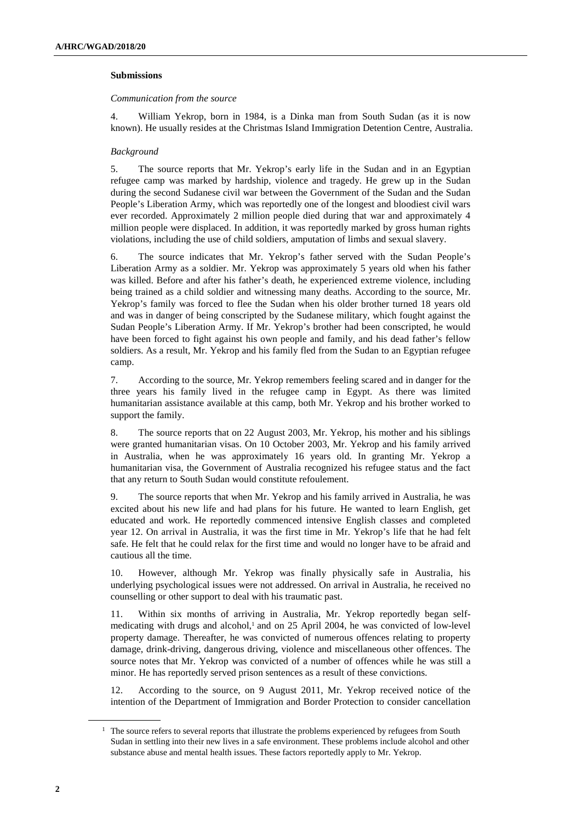#### **Submissions**

#### *Communication from the source*

4. William Yekrop, born in 1984, is a Dinka man from South Sudan (as it is now known). He usually resides at the Christmas Island Immigration Detention Centre, Australia.

### *Background*

5. The source reports that Mr. Yekrop's early life in the Sudan and in an Egyptian refugee camp was marked by hardship, violence and tragedy. He grew up in the Sudan during the second Sudanese civil war between the Government of the Sudan and the Sudan People's Liberation Army, which was reportedly one of the longest and bloodiest civil wars ever recorded. Approximately 2 million people died during that war and approximately 4 million people were displaced. In addition, it was reportedly marked by gross human rights violations, including the use of child soldiers, amputation of limbs and sexual slavery.

6. The source indicates that Mr. Yekrop's father served with the Sudan People's Liberation Army as a soldier. Mr. Yekrop was approximately 5 years old when his father was killed. Before and after his father's death, he experienced extreme violence, including being trained as a child soldier and witnessing many deaths. According to the source, Mr. Yekrop's family was forced to flee the Sudan when his older brother turned 18 years old and was in danger of being conscripted by the Sudanese military, which fought against the Sudan People's Liberation Army. If Mr. Yekrop's brother had been conscripted, he would have been forced to fight against his own people and family, and his dead father's fellow soldiers. As a result, Mr. Yekrop and his family fled from the Sudan to an Egyptian refugee camp.

7. According to the source, Mr. Yekrop remembers feeling scared and in danger for the three years his family lived in the refugee camp in Egypt. As there was limited humanitarian assistance available at this camp, both Mr. Yekrop and his brother worked to support the family.

8. The source reports that on 22 August 2003, Mr. Yekrop, his mother and his siblings were granted humanitarian visas. On 10 October 2003, Mr. Yekrop and his family arrived in Australia, when he was approximately 16 years old. In granting Mr. Yekrop a humanitarian visa, the Government of Australia recognized his refugee status and the fact that any return to South Sudan would constitute refoulement.

9. The source reports that when Mr. Yekrop and his family arrived in Australia, he was excited about his new life and had plans for his future. He wanted to learn English, get educated and work. He reportedly commenced intensive English classes and completed year 12. On arrival in Australia, it was the first time in Mr. Yekrop's life that he had felt safe. He felt that he could relax for the first time and would no longer have to be afraid and cautious all the time.

10. However, although Mr. Yekrop was finally physically safe in Australia, his underlying psychological issues were not addressed. On arrival in Australia, he received no counselling or other support to deal with his traumatic past.

11. Within six months of arriving in Australia, Mr. Yekrop reportedly began selfmedicating with drugs and alcohol, $\frac{1}{2}$  and on 25 April 2004, he was convicted of low-level property damage. Thereafter, he was convicted of numerous offences relating to property damage, drink-driving, dangerous driving, violence and miscellaneous other offences. The source notes that Mr. Yekrop was convicted of a number of offences while he was still a minor. He has reportedly served prison sentences as a result of these convictions.

12. According to the source, on 9 August 2011, Mr. Yekrop received notice of the intention of the Department of Immigration and Border Protection to consider cancellation

<sup>&</sup>lt;sup>1</sup> The source refers to several reports that illustrate the problems experienced by refugees from South Sudan in settling into their new lives in a safe environment. These problems include alcohol and other substance abuse and mental health issues. These factors reportedly apply to Mr. Yekrop.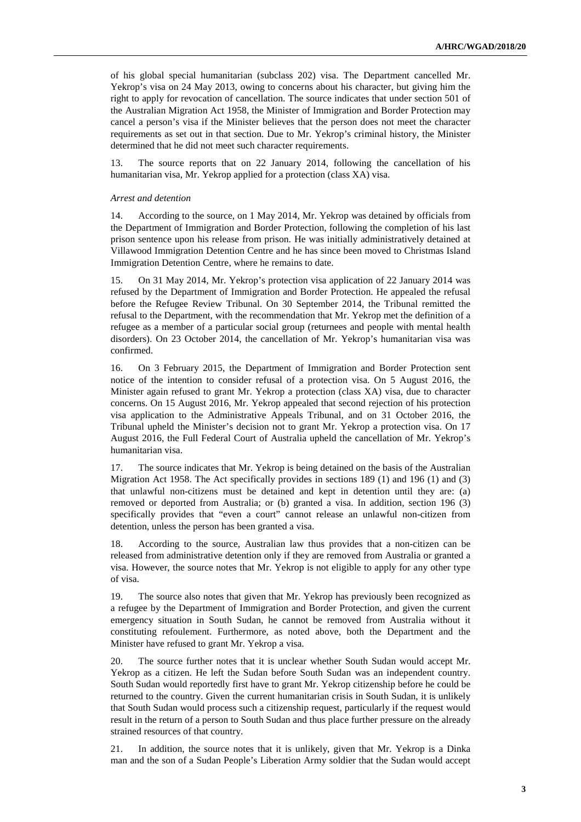of his global special humanitarian (subclass 202) visa. The Department cancelled Mr. Yekrop's visa on 24 May 2013, owing to concerns about his character, but giving him the right to apply for revocation of cancellation. The source indicates that under section 501 of the Australian Migration Act 1958, the Minister of Immigration and Border Protection may cancel a person's visa if the Minister believes that the person does not meet the character requirements as set out in that section. Due to Mr. Yekrop's criminal history, the Minister determined that he did not meet such character requirements.

13. The source reports that on 22 January 2014, following the cancellation of his humanitarian visa, Mr. Yekrop applied for a protection (class XA) visa.

#### *Arrest and detention*

14. According to the source, on 1 May 2014, Mr. Yekrop was detained by officials from the Department of Immigration and Border Protection, following the completion of his last prison sentence upon his release from prison. He was initially administratively detained at Villawood Immigration Detention Centre and he has since been moved to Christmas Island Immigration Detention Centre, where he remains to date.

15. On 31 May 2014, Mr. Yekrop's protection visa application of 22 January 2014 was refused by the Department of Immigration and Border Protection. He appealed the refusal before the Refugee Review Tribunal. On 30 September 2014, the Tribunal remitted the refusal to the Department, with the recommendation that Mr. Yekrop met the definition of a refugee as a member of a particular social group (returnees and people with mental health disorders). On 23 October 2014, the cancellation of Mr. Yekrop's humanitarian visa was confirmed.

16. On 3 February 2015, the Department of Immigration and Border Protection sent notice of the intention to consider refusal of a protection visa. On 5 August 2016, the Minister again refused to grant Mr. Yekrop a protection (class XA) visa, due to character concerns. On 15 August 2016, Mr. Yekrop appealed that second rejection of his protection visa application to the Administrative Appeals Tribunal, and on 31 October 2016, the Tribunal upheld the Minister's decision not to grant Mr. Yekrop a protection visa. On 17 August 2016, the Full Federal Court of Australia upheld the cancellation of Mr. Yekrop's humanitarian visa.

17. The source indicates that Mr. Yekrop is being detained on the basis of the Australian Migration Act 1958. The Act specifically provides in sections 189 (1) and 196 (1) and (3) that unlawful non-citizens must be detained and kept in detention until they are: (a) removed or deported from Australia; or (b) granted a visa. In addition, section 196 (3) specifically provides that "even a court" cannot release an unlawful non-citizen from detention, unless the person has been granted a visa.

18. According to the source, Australian law thus provides that a non-citizen can be released from administrative detention only if they are removed from Australia or granted a visa. However, the source notes that Mr. Yekrop is not eligible to apply for any other type of visa.

19. The source also notes that given that Mr. Yekrop has previously been recognized as a refugee by the Department of Immigration and Border Protection, and given the current emergency situation in South Sudan, he cannot be removed from Australia without it constituting refoulement. Furthermore, as noted above, both the Department and the Minister have refused to grant Mr. Yekrop a visa.

20. The source further notes that it is unclear whether South Sudan would accept Mr. Yekrop as a citizen. He left the Sudan before South Sudan was an independent country. South Sudan would reportedly first have to grant Mr. Yekrop citizenship before he could be returned to the country. Given the current humanitarian crisis in South Sudan, it is unlikely that South Sudan would process such a citizenship request, particularly if the request would result in the return of a person to South Sudan and thus place further pressure on the already strained resources of that country.

21. In addition, the source notes that it is unlikely, given that Mr. Yekrop is a Dinka man and the son of a Sudan People's Liberation Army soldier that the Sudan would accept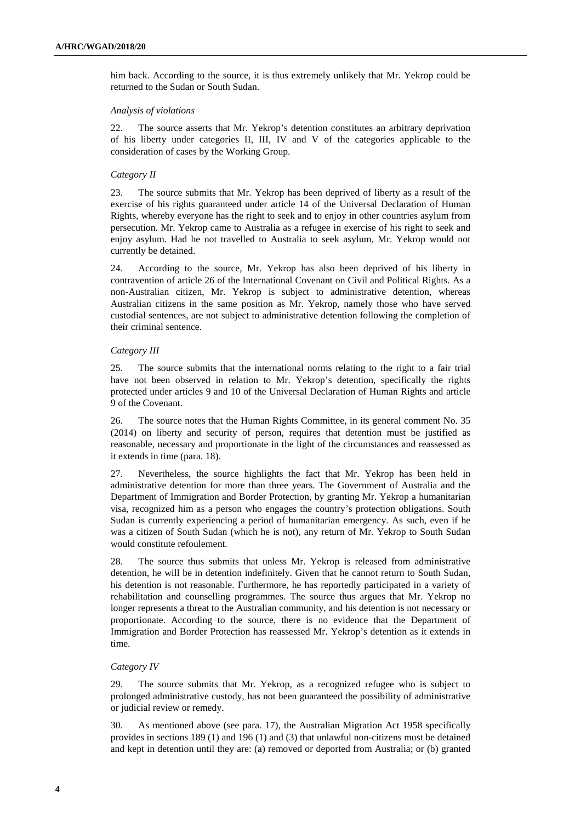him back. According to the source, it is thus extremely unlikely that Mr. Yekrop could be returned to the Sudan or South Sudan.

#### *Analysis of violations*

22. The source asserts that Mr. Yekrop's detention constitutes an arbitrary deprivation of his liberty under categories II, III, IV and V of the categories applicable to the consideration of cases by the Working Group.

#### *Category II*

23. The source submits that Mr. Yekrop has been deprived of liberty as a result of the exercise of his rights guaranteed under article 14 of the Universal Declaration of Human Rights, whereby everyone has the right to seek and to enjoy in other countries asylum from persecution. Mr. Yekrop came to Australia as a refugee in exercise of his right to seek and enjoy asylum. Had he not travelled to Australia to seek asylum, Mr. Yekrop would not currently be detained.

24. According to the source, Mr. Yekrop has also been deprived of his liberty in contravention of article 26 of the International Covenant on Civil and Political Rights. As a non-Australian citizen, Mr. Yekrop is subject to administrative detention, whereas Australian citizens in the same position as Mr. Yekrop, namely those who have served custodial sentences, are not subject to administrative detention following the completion of their criminal sentence.

#### *Category III*

25. The source submits that the international norms relating to the right to a fair trial have not been observed in relation to Mr. Yekrop's detention, specifically the rights protected under articles 9 and 10 of the Universal Declaration of Human Rights and article 9 of the Covenant.

26. The source notes that the Human Rights Committee, in its general comment No. 35 (2014) on liberty and security of person, requires that detention must be justified as reasonable, necessary and proportionate in the light of the circumstances and reassessed as it extends in time (para. 18).

27. Nevertheless, the source highlights the fact that Mr. Yekrop has been held in administrative detention for more than three years. The Government of Australia and the Department of Immigration and Border Protection, by granting Mr. Yekrop a humanitarian visa, recognized him as a person who engages the country's protection obligations. South Sudan is currently experiencing a period of humanitarian emergency. As such, even if he was a citizen of South Sudan (which he is not), any return of Mr. Yekrop to South Sudan would constitute refoulement.

28. The source thus submits that unless Mr. Yekrop is released from administrative detention, he will be in detention indefinitely. Given that he cannot return to South Sudan, his detention is not reasonable. Furthermore, he has reportedly participated in a variety of rehabilitation and counselling programmes. The source thus argues that Mr. Yekrop no longer represents a threat to the Australian community, and his detention is not necessary or proportionate. According to the source, there is no evidence that the Department of Immigration and Border Protection has reassessed Mr. Yekrop's detention as it extends in time.

#### *Category IV*

29. The source submits that Mr. Yekrop, as a recognized refugee who is subject to prolonged administrative custody, has not been guaranteed the possibility of administrative or judicial review or remedy.

30. As mentioned above (see para. 17), the Australian Migration Act 1958 specifically provides in sections 189 (1) and 196 (1) and (3) that unlawful non-citizens must be detained and kept in detention until they are: (a) removed or deported from Australia; or (b) granted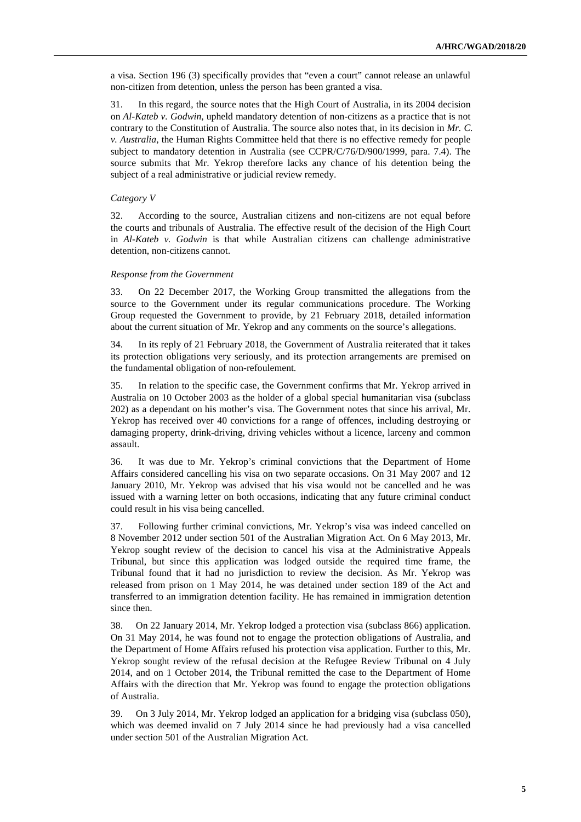a visa. Section 196 (3) specifically provides that "even a court" cannot release an unlawful non-citizen from detention, unless the person has been granted a visa.

31. In this regard, the source notes that the High Court of Australia, in its 2004 decision on *Al-Kateb v. Godwin*, upheld mandatory detention of non-citizens as a practice that is not contrary to the Constitution of Australia. The source also notes that, in its decision in *Mr. C. v. Australia*, the Human Rights Committee held that there is no effective remedy for people subject to mandatory detention in Australia (see CCPR/C/76/D/900/1999, para. 7.4). The source submits that Mr. Yekrop therefore lacks any chance of his detention being the subject of a real administrative or judicial review remedy.

#### *Category V*

32. According to the source, Australian citizens and non-citizens are not equal before the courts and tribunals of Australia. The effective result of the decision of the High Court in *Al-Kateb v. Godwin* is that while Australian citizens can challenge administrative detention, non-citizens cannot.

#### *Response from the Government*

33. On 22 December 2017, the Working Group transmitted the allegations from the source to the Government under its regular communications procedure. The Working Group requested the Government to provide, by 21 February 2018, detailed information about the current situation of Mr. Yekrop and any comments on the source's allegations.

34. In its reply of 21 February 2018, the Government of Australia reiterated that it takes its protection obligations very seriously, and its protection arrangements are premised on the fundamental obligation of non-refoulement.

35. In relation to the specific case, the Government confirms that Mr. Yekrop arrived in Australia on 10 October 2003 as the holder of a global special humanitarian visa (subclass 202) as a dependant on his mother's visa. The Government notes that since his arrival, Mr. Yekrop has received over 40 convictions for a range of offences, including destroying or damaging property, drink-driving, driving vehicles without a licence, larceny and common assault.

36. It was due to Mr. Yekrop's criminal convictions that the Department of Home Affairs considered cancelling his visa on two separate occasions. On 31 May 2007 and 12 January 2010, Mr. Yekrop was advised that his visa would not be cancelled and he was issued with a warning letter on both occasions, indicating that any future criminal conduct could result in his visa being cancelled.

37. Following further criminal convictions, Mr. Yekrop's visa was indeed cancelled on 8 November 2012 under section 501 of the Australian Migration Act. On 6 May 2013, Mr. Yekrop sought review of the decision to cancel his visa at the Administrative Appeals Tribunal, but since this application was lodged outside the required time frame, the Tribunal found that it had no jurisdiction to review the decision. As Mr. Yekrop was released from prison on 1 May 2014, he was detained under section 189 of the Act and transferred to an immigration detention facility. He has remained in immigration detention since then.

38. On 22 January 2014, Mr. Yekrop lodged a protection visa (subclass 866) application. On 31 May 2014, he was found not to engage the protection obligations of Australia, and the Department of Home Affairs refused his protection visa application. Further to this, Mr. Yekrop sought review of the refusal decision at the Refugee Review Tribunal on 4 July 2014, and on 1 October 2014, the Tribunal remitted the case to the Department of Home Affairs with the direction that Mr. Yekrop was found to engage the protection obligations of Australia.

39. On 3 July 2014, Mr. Yekrop lodged an application for a bridging visa (subclass 050), which was deemed invalid on 7 July 2014 since he had previously had a visa cancelled under section 501 of the Australian Migration Act.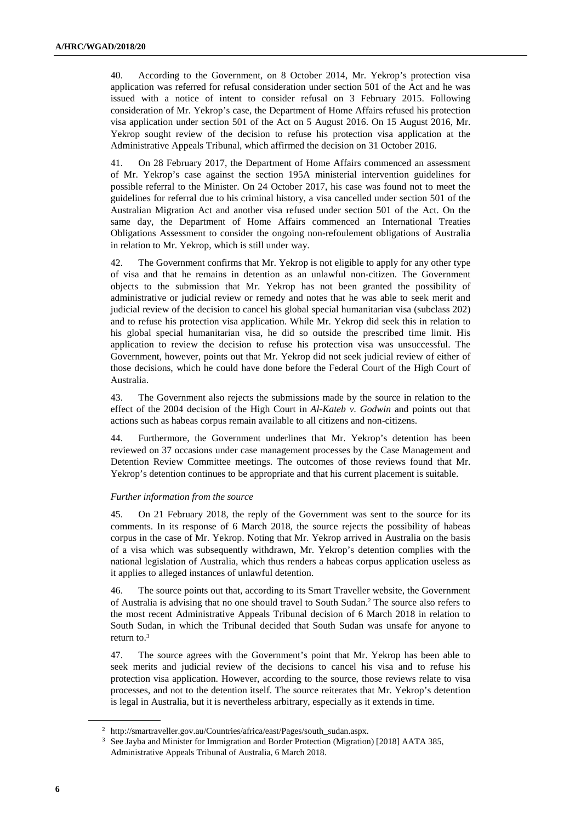40. According to the Government, on 8 October 2014, Mr. Yekrop's protection visa application was referred for refusal consideration under section 501 of the Act and he was issued with a notice of intent to consider refusal on 3 February 2015. Following consideration of Mr. Yekrop's case, the Department of Home Affairs refused his protection visa application under section 501 of the Act on 5 August 2016. On 15 August 2016, Mr. Yekrop sought review of the decision to refuse his protection visa application at the Administrative Appeals Tribunal, which affirmed the decision on 31 October 2016.

41. On 28 February 2017, the Department of Home Affairs commenced an assessment of Mr. Yekrop's case against the section 195A ministerial intervention guidelines for possible referral to the Minister. On 24 October 2017, his case was found not to meet the guidelines for referral due to his criminal history, a visa cancelled under section 501 of the Australian Migration Act and another visa refused under section 501 of the Act. On the same day, the Department of Home Affairs commenced an International Treaties Obligations Assessment to consider the ongoing non-refoulement obligations of Australia in relation to Mr. Yekrop, which is still under way.

42. The Government confirms that Mr. Yekrop is not eligible to apply for any other type of visa and that he remains in detention as an unlawful non-citizen. The Government objects to the submission that Mr. Yekrop has not been granted the possibility of administrative or judicial review or remedy and notes that he was able to seek merit and judicial review of the decision to cancel his global special humanitarian visa (subclass 202) and to refuse his protection visa application. While Mr. Yekrop did seek this in relation to his global special humanitarian visa, he did so outside the prescribed time limit. His application to review the decision to refuse his protection visa was unsuccessful. The Government, however, points out that Mr. Yekrop did not seek judicial review of either of those decisions, which he could have done before the Federal Court of the High Court of Australia.

43. The Government also rejects the submissions made by the source in relation to the effect of the 2004 decision of the High Court in *Al-Kateb v. Godwin* and points out that actions such as habeas corpus remain available to all citizens and non-citizens.

44. Furthermore, the Government underlines that Mr. Yekrop's detention has been reviewed on 37 occasions under case management processes by the Case Management and Detention Review Committee meetings. The outcomes of those reviews found that Mr. Yekrop's detention continues to be appropriate and that his current placement is suitable.

#### *Further information from the source*

45. On 21 February 2018, the reply of the Government was sent to the source for its comments. In its response of 6 March 2018, the source rejects the possibility of habeas corpus in the case of Mr. Yekrop. Noting that Mr. Yekrop arrived in Australia on the basis of a visa which was subsequently withdrawn, Mr. Yekrop's detention complies with the national legislation of Australia, which thus renders a habeas corpus application useless as it applies to alleged instances of unlawful detention.

46. The source points out that, according to its Smart Traveller website, the Government of Australia is advising that no one should travel to South Sudan.<sup>2</sup> The source also refers to the most recent Administrative Appeals Tribunal decision of 6 March 2018 in relation to South Sudan, in which the Tribunal decided that South Sudan was unsafe for anyone to return to.<sup>3</sup>

47. The source agrees with the Government's point that Mr. Yekrop has been able to seek merits and judicial review of the decisions to cancel his visa and to refuse his protection visa application. However, according to the source, those reviews relate to visa processes, and not to the detention itself. The source reiterates that Mr. Yekrop's detention is legal in Australia, but it is nevertheless arbitrary, especially as it extends in time.

<sup>2</sup> http://smartraveller.gov.au/Countries/africa/east/Pages/south\_sudan.aspx.

<sup>3</sup> See Jayba and Minister for Immigration and Border Protection (Migration) [2018] AATA 385, Administrative Appeals Tribunal of Australia, 6 March 2018.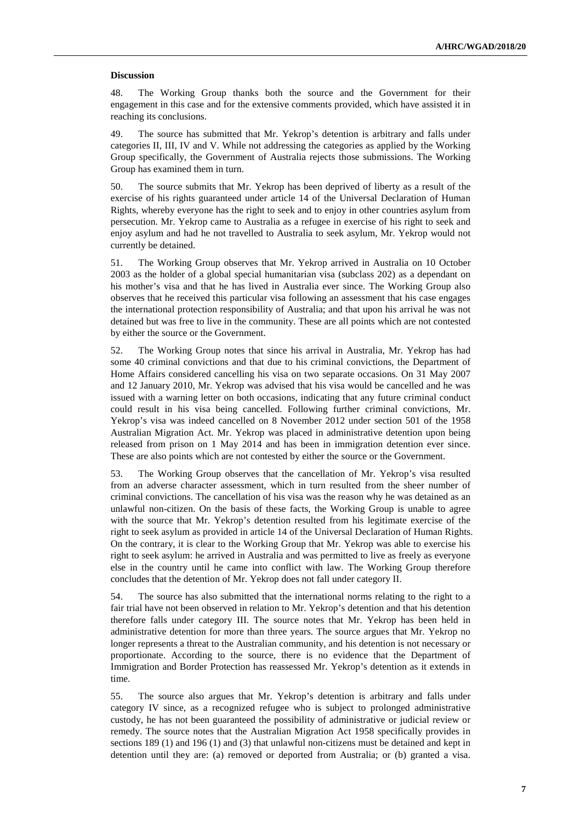#### **Discussion**

48. The Working Group thanks both the source and the Government for their engagement in this case and for the extensive comments provided, which have assisted it in reaching its conclusions.

49. The source has submitted that Mr. Yekrop's detention is arbitrary and falls under categories II, III, IV and V. While not addressing the categories as applied by the Working Group specifically, the Government of Australia rejects those submissions. The Working Group has examined them in turn.

50. The source submits that Mr. Yekrop has been deprived of liberty as a result of the exercise of his rights guaranteed under article 14 of the Universal Declaration of Human Rights, whereby everyone has the right to seek and to enjoy in other countries asylum from persecution. Mr. Yekrop came to Australia as a refugee in exercise of his right to seek and enjoy asylum and had he not travelled to Australia to seek asylum, Mr. Yekrop would not currently be detained.

51. The Working Group observes that Mr. Yekrop arrived in Australia on 10 October 2003 as the holder of a global special humanitarian visa (subclass 202) as a dependant on his mother's visa and that he has lived in Australia ever since. The Working Group also observes that he received this particular visa following an assessment that his case engages the international protection responsibility of Australia; and that upon his arrival he was not detained but was free to live in the community. These are all points which are not contested by either the source or the Government.

52. The Working Group notes that since his arrival in Australia, Mr. Yekrop has had some 40 criminal convictions and that due to his criminal convictions, the Department of Home Affairs considered cancelling his visa on two separate occasions. On 31 May 2007 and 12 January 2010, Mr. Yekrop was advised that his visa would be cancelled and he was issued with a warning letter on both occasions, indicating that any future criminal conduct could result in his visa being cancelled. Following further criminal convictions, Mr. Yekrop's visa was indeed cancelled on 8 November 2012 under section 501 of the 1958 Australian Migration Act. Mr. Yekrop was placed in administrative detention upon being released from prison on 1 May 2014 and has been in immigration detention ever since. These are also points which are not contested by either the source or the Government.

53. The Working Group observes that the cancellation of Mr. Yekrop's visa resulted from an adverse character assessment, which in turn resulted from the sheer number of criminal convictions. The cancellation of his visa was the reason why he was detained as an unlawful non-citizen. On the basis of these facts, the Working Group is unable to agree with the source that Mr. Yekrop's detention resulted from his legitimate exercise of the right to seek asylum as provided in article 14 of the Universal Declaration of Human Rights. On the contrary, it is clear to the Working Group that Mr. Yekrop was able to exercise his right to seek asylum: he arrived in Australia and was permitted to live as freely as everyone else in the country until he came into conflict with law. The Working Group therefore concludes that the detention of Mr. Yekrop does not fall under category II.

54. The source has also submitted that the international norms relating to the right to a fair trial have not been observed in relation to Mr. Yekrop's detention and that his detention therefore falls under category III. The source notes that Mr. Yekrop has been held in administrative detention for more than three years. The source argues that Mr. Yekrop no longer represents a threat to the Australian community, and his detention is not necessary or proportionate. According to the source, there is no evidence that the Department of Immigration and Border Protection has reassessed Mr. Yekrop's detention as it extends in time.

55. The source also argues that Mr. Yekrop's detention is arbitrary and falls under category IV since, as a recognized refugee who is subject to prolonged administrative custody, he has not been guaranteed the possibility of administrative or judicial review or remedy. The source notes that the Australian Migration Act 1958 specifically provides in sections 189 (1) and 196 (1) and (3) that unlawful non-citizens must be detained and kept in detention until they are: (a) removed or deported from Australia; or (b) granted a visa.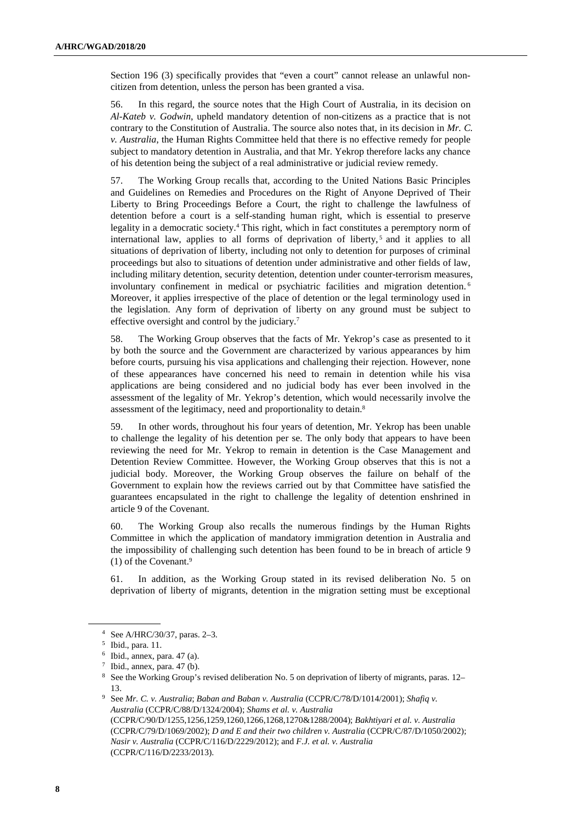Section 196 (3) specifically provides that "even a court" cannot release an unlawful noncitizen from detention, unless the person has been granted a visa.

56. In this regard, the source notes that the High Court of Australia, in its decision on *Al-Kateb v. Godwin*, upheld mandatory detention of non-citizens as a practice that is not contrary to the Constitution of Australia. The source also notes that, in its decision in *Mr. C. v. Australia*, the Human Rights Committee held that there is no effective remedy for people subject to mandatory detention in Australia, and that Mr. Yekrop therefore lacks any chance of his detention being the subject of a real administrative or judicial review remedy.

57. The Working Group recalls that, according to the United Nations Basic Principles and Guidelines on Remedies and Procedures on the Right of Anyone Deprived of Their Liberty to Bring Proceedings Before a Court, the right to challenge the lawfulness of detention before a court is a self-standing human right, which is essential to preserve legality in a democratic society.<sup>4</sup> This right, which in fact constitutes a peremptory norm of international law, applies to all forms of deprivation of liberty,<sup>5</sup> and it applies to all situations of deprivation of liberty, including not only to detention for purposes of criminal proceedings but also to situations of detention under administrative and other fields of law, including military detention, security detention, detention under counter-terrorism measures, involuntary confinement in medical or psychiatric facilities and migration detention. <sup>6</sup> Moreover, it applies irrespective of the place of detention or the legal terminology used in the legislation. Any form of deprivation of liberty on any ground must be subject to effective oversight and control by the judiciary.<sup>7</sup>

58. The Working Group observes that the facts of Mr. Yekrop's case as presented to it by both the source and the Government are characterized by various appearances by him before courts, pursuing his visa applications and challenging their rejection. However, none of these appearances have concerned his need to remain in detention while his visa applications are being considered and no judicial body has ever been involved in the assessment of the legality of Mr. Yekrop's detention, which would necessarily involve the assessment of the legitimacy, need and proportionality to detain.<sup>8</sup>

59. In other words, throughout his four years of detention, Mr. Yekrop has been unable to challenge the legality of his detention per se. The only body that appears to have been reviewing the need for Mr. Yekrop to remain in detention is the Case Management and Detention Review Committee. However, the Working Group observes that this is not a judicial body. Moreover, the Working Group observes the failure on behalf of the Government to explain how the reviews carried out by that Committee have satisfied the guarantees encapsulated in the right to challenge the legality of detention enshrined in article 9 of the Covenant.

60. The Working Group also recalls the numerous findings by the Human Rights Committee in which the application of mandatory immigration detention in Australia and the impossibility of challenging such detention has been found to be in breach of article 9 (1) of the Covenant.<sup>9</sup>

61. In addition, as the Working Group stated in its revised deliberation No. 5 on deprivation of liberty of migrants, detention in the migration setting must be exceptional

<sup>4</sup> See A/HRC/30/37, paras. 2–3.

<sup>5</sup> Ibid., para. 11.

<sup>6</sup> Ibid., annex, para. 47 (a).

 $7$  Ibid., annex, para. 47 (b).

<sup>8</sup> See the Working Group's revised deliberation No. 5 on deprivation of liberty of migrants, paras. 12– 13.

<sup>9</sup> See *Mr. C. v. Australia*; *Baban and Baban v. Australia* (CCPR/C/78/D/1014/2001); *Shafiq v. Australia* (CCPR/C/88/D/1324/2004); *Shams et al. v. Australia* (CCPR/C/90/D/1255,1256,1259,1260,1266,1268,1270&1288/2004); *Bakhtiyari et al. v. Australia* (CCPR/C/79/D/1069/2002); *D and E and their two children v. Australia* (CCPR/C/87/D/1050/2002); *Nasir v. Australia* (CCPR/C/116/D/2229/2012); and *F.J. et al. v. Australia* (CCPR/C/116/D/2233/2013).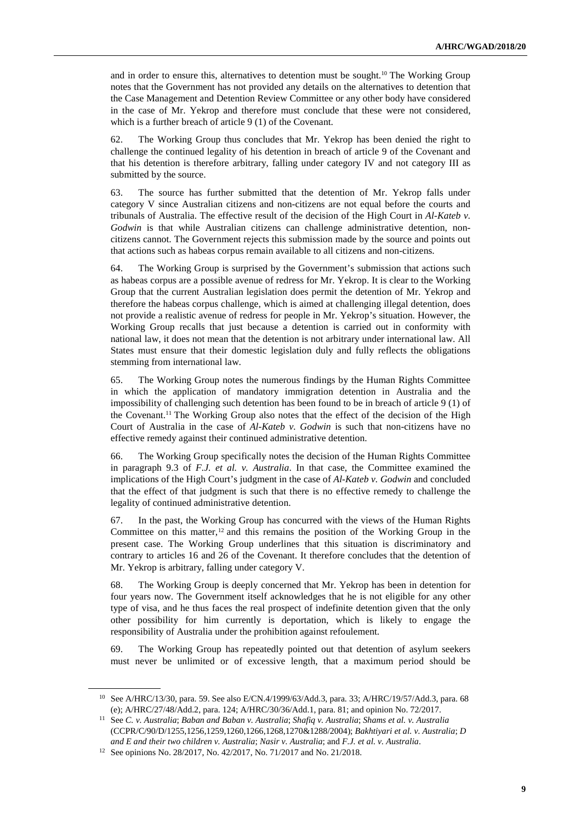and in order to ensure this, alternatives to detention must be sought.10 The Working Group notes that the Government has not provided any details on the alternatives to detention that the Case Management and Detention Review Committee or any other body have considered in the case of Mr. Yekrop and therefore must conclude that these were not considered, which is a further breach of article 9 (1) of the Covenant.

62. The Working Group thus concludes that Mr. Yekrop has been denied the right to challenge the continued legality of his detention in breach of article 9 of the Covenant and that his detention is therefore arbitrary, falling under category IV and not category III as submitted by the source.

63. The source has further submitted that the detention of Mr. Yekrop falls under category V since Australian citizens and non-citizens are not equal before the courts and tribunals of Australia. The effective result of the decision of the High Court in *Al-Kateb v. Godwin* is that while Australian citizens can challenge administrative detention, noncitizens cannot. The Government rejects this submission made by the source and points out that actions such as habeas corpus remain available to all citizens and non-citizens.

64. The Working Group is surprised by the Government's submission that actions such as habeas corpus are a possible avenue of redress for Mr. Yekrop. It is clear to the Working Group that the current Australian legislation does permit the detention of Mr. Yekrop and therefore the habeas corpus challenge, which is aimed at challenging illegal detention, does not provide a realistic avenue of redress for people in Mr. Yekrop's situation. However, the Working Group recalls that just because a detention is carried out in conformity with national law, it does not mean that the detention is not arbitrary under international law. All States must ensure that their domestic legislation duly and fully reflects the obligations stemming from international law.

65. The Working Group notes the numerous findings by the Human Rights Committee in which the application of mandatory immigration detention in Australia and the impossibility of challenging such detention has been found to be in breach of article 9 (1) of the Covenant.11 The Working Group also notes that the effect of the decision of the High Court of Australia in the case of *Al-Kateb v. Godwin* is such that non-citizens have no effective remedy against their continued administrative detention.

66. The Working Group specifically notes the decision of the Human Rights Committee in paragraph 9.3 of *F.J. et al. v. Australia*. In that case, the Committee examined the implications of the High Court's judgment in the case of *Al-Kateb v. Godwin* and concluded that the effect of that judgment is such that there is no effective remedy to challenge the legality of continued administrative detention.

67. In the past, the Working Group has concurred with the views of the Human Rights Committee on this matter, $12$  and this remains the position of the Working Group in the present case. The Working Group underlines that this situation is discriminatory and contrary to articles 16 and 26 of the Covenant. It therefore concludes that the detention of Mr. Yekrop is arbitrary, falling under category V.

68. The Working Group is deeply concerned that Mr. Yekrop has been in detention for four years now. The Government itself acknowledges that he is not eligible for any other type of visa, and he thus faces the real prospect of indefinite detention given that the only other possibility for him currently is deportation, which is likely to engage the responsibility of Australia under the prohibition against refoulement.

69. The Working Group has repeatedly pointed out that detention of asylum seekers must never be unlimited or of excessive length, that a maximum period should be

<sup>10</sup> See A/HRC/13/30, para. 59. See also E/CN.4/1999/63/Add.3, para. 33; A/HRC/19/57/Add.3, para. 68 (e); A/HRC/27/48/Add.2, para. 124; A/HRC/30/36/Add.1, para. 81; and opinion No. 72/2017.

<sup>11</sup> See *C. v. Australia*; *Baban and Baban v. Australia*; *Shafiq v. Australia*; *Shams et al. v. Australia* (CCPR/C/90/D/1255,1256,1259,1260,1266,1268,1270&1288/2004); *Bakhtiyari et al. v. Australia*; *D and E and their two children v. Australia*; *Nasir v. Australia*; and *F.J. et al. v. Australia*.

<sup>12</sup> See opinions No. 28/2017, No. 42/2017, No. 71/2017 and No. 21/2018.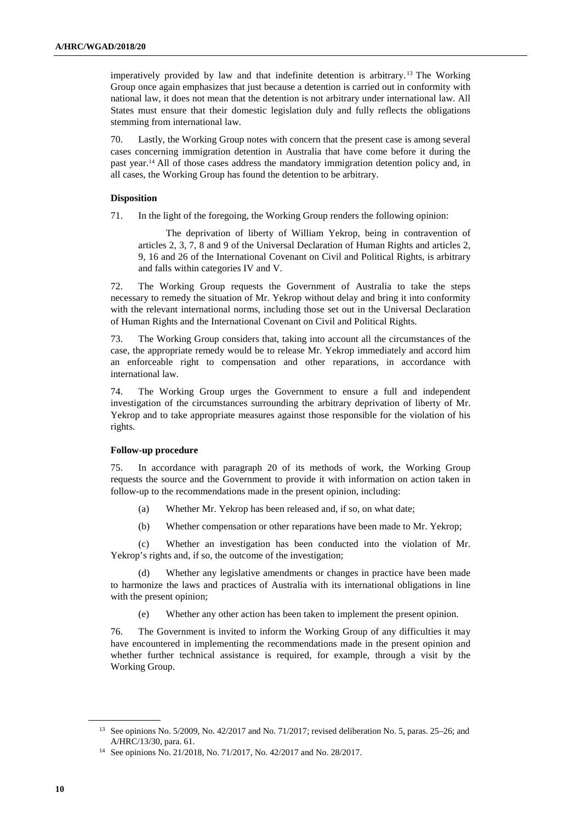imperatively provided by law and that indefinite detention is arbitrary. <sup>13</sup> The Working Group once again emphasizes that just because a detention is carried out in conformity with national law, it does not mean that the detention is not arbitrary under international law. All States must ensure that their domestic legislation duly and fully reflects the obligations stemming from international law.

70. Lastly, the Working Group notes with concern that the present case is among several cases concerning immigration detention in Australia that have come before it during the past year.14 All of those cases address the mandatory immigration detention policy and, in all cases, the Working Group has found the detention to be arbitrary.

#### **Disposition**

71. In the light of the foregoing, the Working Group renders the following opinion:

The deprivation of liberty of William Yekrop, being in contravention of articles 2, 3, 7, 8 and 9 of the Universal Declaration of Human Rights and articles 2, 9, 16 and 26 of the International Covenant on Civil and Political Rights, is arbitrary and falls within categories IV and V.

72. The Working Group requests the Government of Australia to take the steps necessary to remedy the situation of Mr. Yekrop without delay and bring it into conformity with the relevant international norms, including those set out in the Universal Declaration of Human Rights and the International Covenant on Civil and Political Rights.

73. The Working Group considers that, taking into account all the circumstances of the case, the appropriate remedy would be to release Mr. Yekrop immediately and accord him an enforceable right to compensation and other reparations, in accordance with international law.

74. The Working Group urges the Government to ensure a full and independent investigation of the circumstances surrounding the arbitrary deprivation of liberty of Mr. Yekrop and to take appropriate measures against those responsible for the violation of his rights.

# **Follow-up procedure**

75. In accordance with paragraph 20 of its methods of work, the Working Group requests the source and the Government to provide it with information on action taken in follow-up to the recommendations made in the present opinion, including:

- (a) Whether Mr. Yekrop has been released and, if so, on what date;
- (b) Whether compensation or other reparations have been made to Mr. Yekrop;

 (c) Whether an investigation has been conducted into the violation of Mr. Yekrop's rights and, if so, the outcome of the investigation;

 (d) Whether any legislative amendments or changes in practice have been made to harmonize the laws and practices of Australia with its international obligations in line with the present opinion;

(e) Whether any other action has been taken to implement the present opinion.

76. The Government is invited to inform the Working Group of any difficulties it may have encountered in implementing the recommendations made in the present opinion and whether further technical assistance is required, for example, through a visit by the Working Group.

<sup>13</sup> See opinions No. 5/2009, No. 42/2017 and No. 71/2017; revised deliberation No. 5, paras. 25–26; and A/HRC/13/30, para. 61.

<sup>14</sup> See opinions No. 21/2018, No. 71/2017, No. 42/2017 and No. 28/2017.